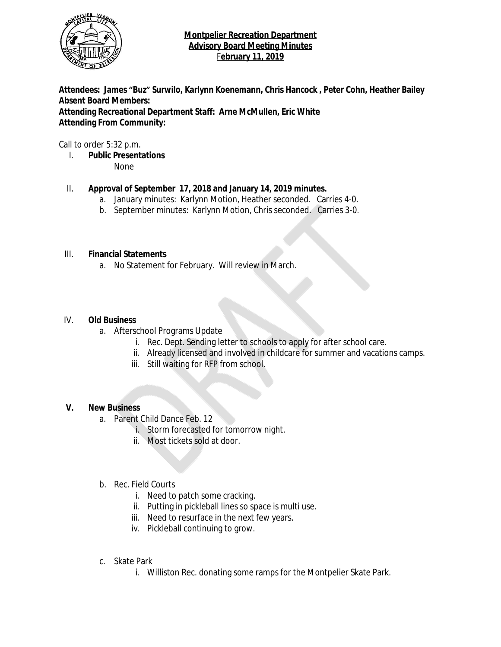

**Attendees: James "Buz" Surwilo, Karlynn Koenemann, Chris Hancock , Peter Cohn, Heather Bailey Absent Board Members: Attending Recreational Department Staff: Arne McMullen, Eric White Attending From Community:**

Call to order 5:32 p.m.

I. **Public Presentations**

None

# II. **Approval of September 17, 2018 and January 14, 2019 minutes.**

- a. January minutes: Karlynn Motion, Heather seconded. Carries 4-0.
- b. September minutes: Karlynn Motion, Chris seconded. Carries 3-0.

# III. **Financial Statements**

a. No Statement for February. Will review in March.

#### IV. **Old Business**

- a. Afterschool Programs Update
	- i. Rec. Dept. Sending letter to schools to apply for after school care.
	- ii. Already licensed and involved in childcare for summer and vacations camps.
	- iii. Still waiting for RFP from school.

# **V. New Business**

- a. Parent Child Dance Feb. 12
	- i. Storm forecasted for tomorrow night.
	- ii. Most tickets sold at door.

# b. Rec. Field Courts

- i. Need to patch some cracking.
- ii. Putting in pickleball lines so space is multi use.
- iii. Need to resurface in the next few years.
- iv. Pickleball continuing to grow.
- c. Skate Park
	- i. Williston Rec. donating some ramps for the Montpelier Skate Park.